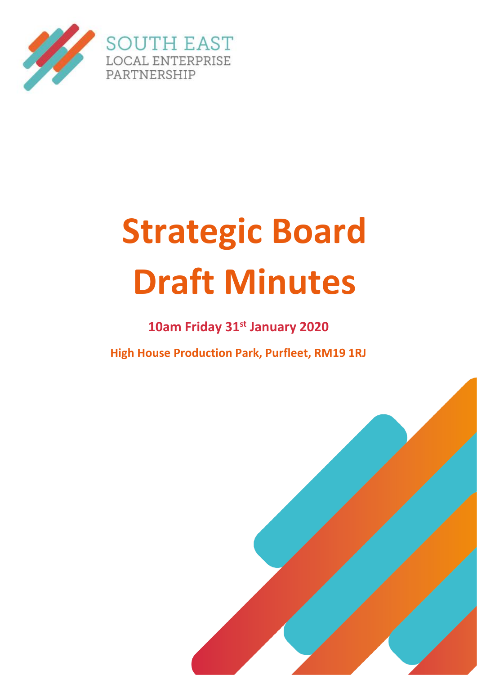

# **Strategic Board Draft Minutes**

**10am Friday 31st January 2020**

**High House Production Park, Purfleet, RM19 1RJ**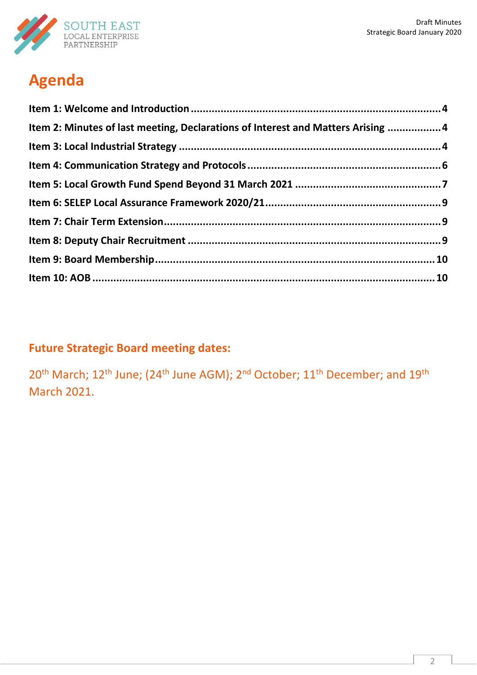

# **Agenda**

| Item 2: Minutes of last meeting, Declarations of Interest and Matters Arising  4 |  |
|----------------------------------------------------------------------------------|--|
|                                                                                  |  |
|                                                                                  |  |
|                                                                                  |  |
|                                                                                  |  |
|                                                                                  |  |
|                                                                                  |  |
|                                                                                  |  |
|                                                                                  |  |
|                                                                                  |  |

# **Future Strategic Board meeting dates:**

20<sup>th</sup> March; 12<sup>th</sup> June; (24<sup>th</sup> June AGM); 2<sup>nd</sup> October; 11<sup>th</sup> December; and 19<sup>th</sup> March 2021.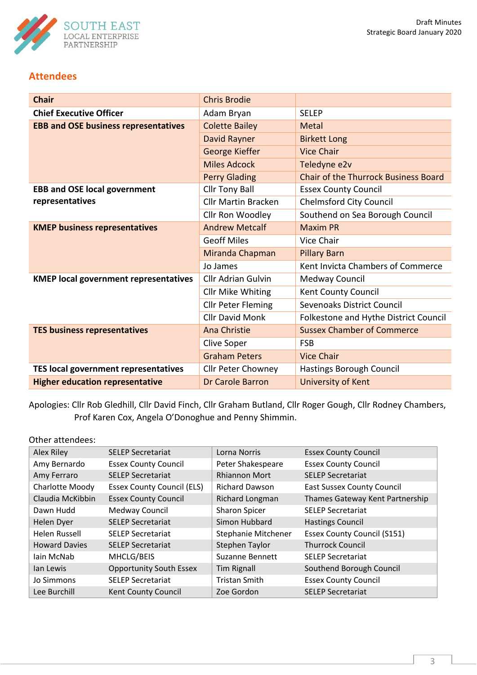

## **Attendees**

| <b>Chair</b>                                           | <b>Chris Brodie</b>        |                                             |
|--------------------------------------------------------|----------------------------|---------------------------------------------|
| <b>Chief Executive Officer</b>                         | Adam Bryan                 | <b>SELEP</b>                                |
| <b>EBB and OSE business representatives</b>            | <b>Colette Bailey</b>      | <b>Metal</b>                                |
|                                                        | <b>David Rayner</b>        | <b>Birkett Long</b>                         |
|                                                        | George Kieffer             | <b>Vice Chair</b>                           |
|                                                        | <b>Miles Adcock</b>        | Teledyne e2v                                |
|                                                        | <b>Perry Glading</b>       | <b>Chair of the Thurrock Business Board</b> |
| <b>EBB and OSE local government</b><br>representatives | <b>Cllr Tony Ball</b>      | <b>Essex County Council</b>                 |
|                                                        | <b>Cllr Martin Bracken</b> | <b>Chelmsford City Council</b>              |
|                                                        | Cllr Ron Woodley           | Southend on Sea Borough Council             |
| <b>KMEP business representatives</b>                   | <b>Andrew Metcalf</b>      | <b>Maxim PR</b>                             |
|                                                        | <b>Geoff Miles</b>         | Vice Chair                                  |
|                                                        | Miranda Chapman            | <b>Pillary Barn</b>                         |
|                                                        | Jo James                   | Kent Invicta Chambers of Commerce           |
| <b>KMEP local government representatives</b>           | <b>Cllr Adrian Gulvin</b>  | Medway Council                              |
|                                                        | <b>Cllr Mike Whiting</b>   | Kent County Council                         |
|                                                        | <b>Cllr Peter Fleming</b>  | Sevenoaks District Council                  |
|                                                        | <b>Cllr David Monk</b>     | Folkestone and Hythe District Council       |
| <b>TES business representatives</b>                    | Ana Christie               | <b>Sussex Chamber of Commerce</b>           |
|                                                        | Clive Soper                | <b>FSB</b>                                  |
|                                                        | <b>Graham Peters</b>       | <b>Vice Chair</b>                           |
| TES local government representatives                   | <b>Cllr Peter Chowney</b>  | Hastings Borough Council                    |
| <b>Higher education representative</b>                 | <b>Dr Carole Barron</b>    | University of Kent                          |

Apologies: Cllr Rob Gledhill, Cllr David Finch, Cllr Graham Butland, Cllr Roger Gough, Cllr Rodney Chambers, Prof Karen Cox, Angela O'Donoghue and Penny Shimmin.

#### Other attendees:

<span id="page-2-0"></span>

| Alex Riley           | <b>SELEP Secretariat</b>          | Lorna Norris           | <b>Essex County Council</b>        |
|----------------------|-----------------------------------|------------------------|------------------------------------|
| Amy Bernardo         | <b>Essex County Council</b>       | Peter Shakespeare      | <b>Essex County Council</b>        |
| Amy Ferraro          | <b>SELEP Secretariat</b>          | <b>Rhiannon Mort</b>   | <b>SELEP Secretariat</b>           |
| Charlotte Moody      | <b>Essex County Council (ELS)</b> | <b>Richard Dawson</b>  | <b>East Sussex County Council</b>  |
| Claudia McKibbin     | <b>Essex County Council</b>       | Richard Longman        | Thames Gateway Kent Partnership    |
| Dawn Hudd            | Medway Council                    | <b>Sharon Spicer</b>   | <b>SELEP Secretariat</b>           |
| Helen Dyer           | <b>SELEP Secretariat</b>          | Simon Hubbard          | <b>Hastings Council</b>            |
| Helen Russell        | <b>SELEP Secretariat</b>          | Stephanie Mitchener    | <b>Essex County Council (S151)</b> |
| <b>Howard Davies</b> | <b>SELEP Secretariat</b>          | Stephen Taylor         | <b>Thurrock Council</b>            |
| lain McNab           | MHCLG/BEIS                        | <b>Suzanne Bennett</b> | <b>SELEP Secretariat</b>           |
| lan Lewis            | <b>Opportunity South Essex</b>    | <b>Tim Rignall</b>     | Southend Borough Council           |
| Jo Simmons           | <b>SELEP Secretariat</b>          | <b>Tristan Smith</b>   | <b>Essex County Council</b>        |
| Lee Burchill         | <b>Kent County Council</b>        | Zoe Gordon             | <b>SELEP Secretariat</b>           |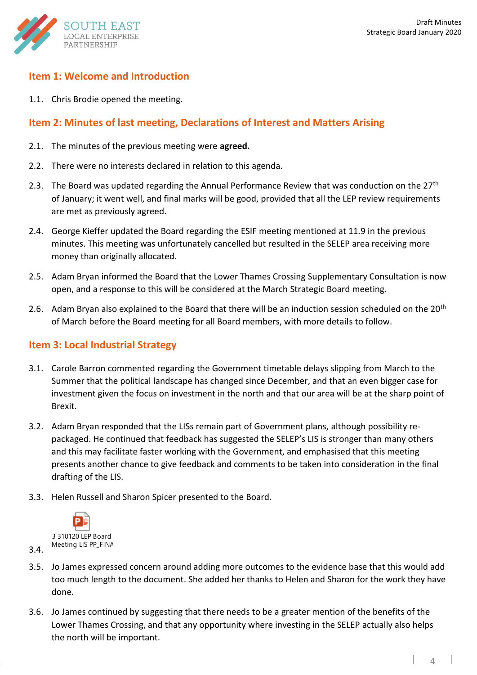

#### **Item 1: Welcome and Introduction**

1.1. Chris Brodie opened the meeting.

#### <span id="page-3-0"></span>**Item 2: Minutes of last meeting, Declarations of Interest and Matters Arising**

- 2.1. The minutes of the previous meeting were **agreed.**
- 2.2. There were no interests declared in relation to this agenda.
- 2.3. The Board was updated regarding the Annual Performance Review that was conduction on the 27<sup>th</sup> of January; it went well, and final marks will be good, provided that all the LEP review requirements are met as previously agreed.
- 2.4. George Kieffer updated the Board regarding the ESIF meeting mentioned at 11.9 in the previous minutes. This meeting was unfortunately cancelled but resulted in the SELEP area receiving more money than originally allocated.
- 2.5. Adam Bryan informed the Board that the Lower Thames Crossing Supplementary Consultation is now open, and a response to this will be considered at the March Strategic Board meeting.
- 2.6. Adam Bryan also explained to the Board that there will be an induction session scheduled on the 20<sup>th</sup> of March before the Board meeting for all Board members, with more details to follow.

#### <span id="page-3-1"></span>**Item 3: Local Industrial Strategy**

- 3.1. Carole Barron commented regarding the Government timetable delays slipping from March to the Summer that the political landscape has changed since December, and that an even bigger case for investment given the focus on investment in the north and that our area will be at the sharp point of Brexit.
- 3.2. Adam Bryan responded that the LISs remain part of Government plans, although possibility repackaged. He continued that feedback has suggested the SELEP's LIS is stronger than many others and this may facilitate faster working with the Government, and emphasised that this meeting presents another chance to give feedback and comments to be taken into consideration in the final drafting of the LIS.
- 3.3. Helen Russell and Sharon Spicer presented to the Board.



- 3.4.
- 3.5. Jo James expressed concern around adding more outcomes to the evidence base that this would add too much length to the document. She added her thanks to Helen and Sharon for the work they have done.
- 3.6. Jo James continued by suggesting that there needs to be a greater mention of the benefits of the Lower Thames Crossing, and that any opportunity where investing in the SELEP actually also helps the north will be important.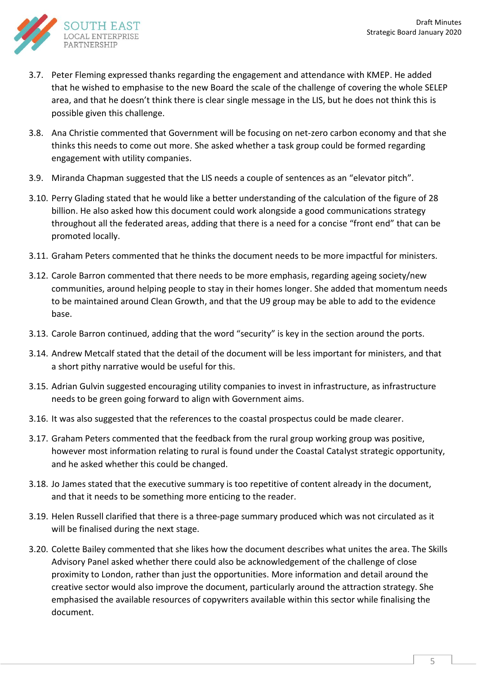

- 3.7. Peter Fleming expressed thanks regarding the engagement and attendance with KMEP. He added that he wished to emphasise to the new Board the scale of the challenge of covering the whole SELEP area, and that he doesn't think there is clear single message in the LIS, but he does not think this is possible given this challenge.
- 3.8. Ana Christie commented that Government will be focusing on net-zero carbon economy and that she thinks this needs to come out more. She asked whether a task group could be formed regarding engagement with utility companies.
- 3.9. Miranda Chapman suggested that the LIS needs a couple of sentences as an "elevator pitch".
- 3.10. Perry Glading stated that he would like a better understanding of the calculation of the figure of 28 billion. He also asked how this document could work alongside a good communications strategy throughout all the federated areas, adding that there is a need for a concise "front end" that can be promoted locally.
- 3.11. Graham Peters commented that he thinks the document needs to be more impactful for ministers.
- 3.12. Carole Barron commented that there needs to be more emphasis, regarding ageing society/new communities, around helping people to stay in their homes longer. She added that momentum needs to be maintained around Clean Growth, and that the U9 group may be able to add to the evidence base.
- 3.13. Carole Barron continued, adding that the word "security" is key in the section around the ports.
- 3.14. Andrew Metcalf stated that the detail of the document will be less important for ministers, and that a short pithy narrative would be useful for this.
- 3.15. Adrian Gulvin suggested encouraging utility companies to invest in infrastructure, as infrastructure needs to be green going forward to align with Government aims.
- 3.16. It was also suggested that the references to the coastal prospectus could be made clearer.
- 3.17. Graham Peters commented that the feedback from the rural group working group was positive, however most information relating to rural is found under the Coastal Catalyst strategic opportunity, and he asked whether this could be changed.
- 3.18. Jo James stated that the executive summary is too repetitive of content already in the document, and that it needs to be something more enticing to the reader.
- 3.19. Helen Russell clarified that there is a three-page summary produced which was not circulated as it will be finalised during the next stage.
- 3.20. Colette Bailey commented that she likes how the document describes what unites the area. The Skills Advisory Panel asked whether there could also be acknowledgement of the challenge of close proximity to London, rather than just the opportunities. More information and detail around the creative sector would also improve the document, particularly around the attraction strategy. She emphasised the available resources of copywriters available within this sector while finalising the document.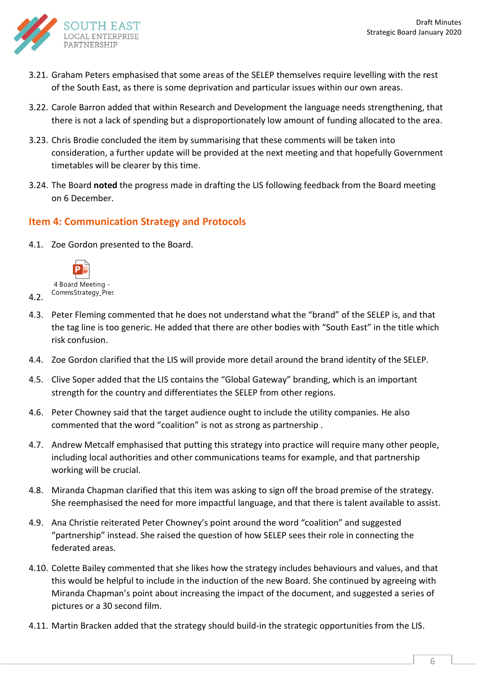

- 3.21. Graham Peters emphasised that some areas of the SELEP themselves require levelling with the rest of the South East, as there is some deprivation and particular issues within our own areas.
- 3.22. Carole Barron added that within Research and Development the language needs strengthening, that there is not a lack of spending but a disproportionately low amount of funding allocated to the area.
- 3.23. Chris Brodie concluded the item by summarising that these comments will be taken into consideration, a further update will be provided at the next meeting and that hopefully Government timetables will be clearer by this time.
- <span id="page-5-0"></span>3.24. The Board **noted** the progress made in drafting the LIS following feedback from the Board meeting on 6 December.

### **Item 4: Communication Strategy and Protocols**

4.1. Zoe Gordon presented to the Board.



4.2.

- 4.3. Peter Fleming commented that he does not understand what the "brand" of the SELEP is, and that the tag line is too generic. He added that there are other bodies with "South East" in the title which risk confusion.
- 4.4. Zoe Gordon clarified that the LIS will provide more detail around the brand identity of the SELEP.
- 4.5. Clive Soper added that the LIS contains the "Global Gateway" branding, which is an important strength for the country and differentiates the SELEP from other regions.
- 4.6. Peter Chowney said that the target audience ought to include the utility companies. He also commented that the word "coalition" is not as strong as partnership .
- 4.7. Andrew Metcalf emphasised that putting this strategy into practice will require many other people, including local authorities and other communications teams for example, and that partnership working will be crucial.
- 4.8. Miranda Chapman clarified that this item was asking to sign off the broad premise of the strategy. She reemphasised the need for more impactful language, and that there is talent available to assist.
- 4.9. Ana Christie reiterated Peter Chowney's point around the word "coalition" and suggested "partnership" instead. She raised the question of how SELEP sees their role in connecting the federated areas.
- 4.10. Colette Bailey commented that she likes how the strategy includes behaviours and values, and that this would be helpful to include in the induction of the new Board. She continued by agreeing with Miranda Chapman's point about increasing the impact of the document, and suggested a series of pictures or a 30 second film.
- 4.11. Martin Bracken added that the strategy should build-in the strategic opportunities from the LIS.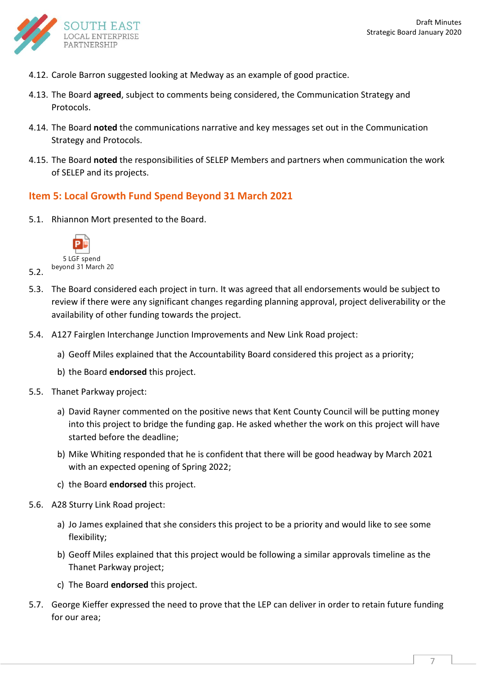

- 4.12. Carole Barron suggested looking at Medway as an example of good practice.
- 4.13. The Board **agreed**, subject to comments being considered, the Communication Strategy and Protocols.
- 4.14. The Board **noted** the communications narrative and key messages set out in the Communication Strategy and Protocols.
- 4.15. The Board **noted** the responsibilities of SELEP Members and partners when communication the work of SELEP and its projects.

#### <span id="page-6-0"></span>**Item 5: Local Growth Fund Spend Beyond 31 March 2021**

5.1. Rhiannon Mort presented to the Board.



5.2.

- 5.3. The Board considered each project in turn. It was agreed that all endorsements would be subject to review if there were any significant changes regarding planning approval, project deliverability or the availability of other funding towards the project.
- 5.4. A127 Fairglen Interchange Junction Improvements and New Link Road project:
	- a) Geoff Miles explained that the Accountability Board considered this project as a priority;
	- b) the Board **endorsed** this project.
- 5.5. Thanet Parkway project:
	- a) David Rayner commented on the positive news that Kent County Council will be putting money into this project to bridge the funding gap. He asked whether the work on this project will have started before the deadline;
	- b) Mike Whiting responded that he is confident that there will be good headway by March 2021 with an expected opening of Spring 2022;
	- c) the Board **endorsed** this project.
- 5.6. A28 Sturry Link Road project:
	- a) Jo James explained that she considers this project to be a priority and would like to see some flexibility;
	- b) Geoff Miles explained that this project would be following a similar approvals timeline as the Thanet Parkway project;
	- c) The Board **endorsed** this project.
- 5.7. George Kieffer expressed the need to prove that the LEP can deliver in order to retain future funding for our area;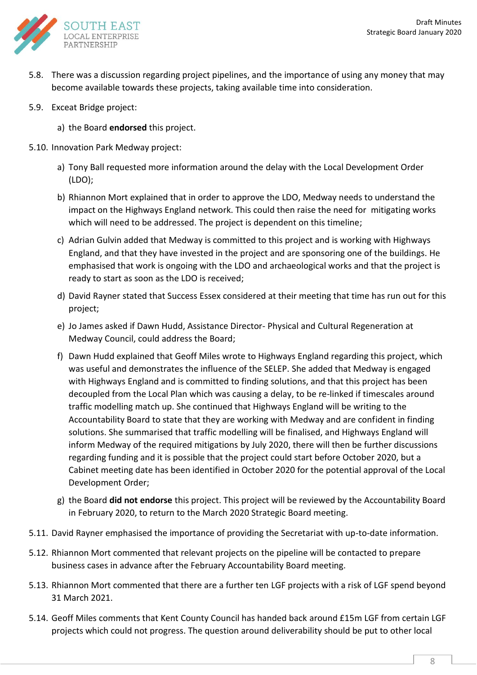

- 5.8. There was a discussion regarding project pipelines, and the importance of using any money that may become available towards these projects, taking available time into consideration.
- 5.9. Exceat Bridge project:
	- a) the Board **endorsed** this project.
- 5.10. Innovation Park Medway project:
	- a) Tony Ball requested more information around the delay with the Local Development Order (LDO);
	- b) Rhiannon Mort explained that in order to approve the LDO, Medway needs to understand the impact on the Highways England network. This could then raise the need for mitigating works which will need to be addressed. The project is dependent on this timeline;
	- c) Adrian Gulvin added that Medway is committed to this project and is working with Highways England, and that they have invested in the project and are sponsoring one of the buildings. He emphasised that work is ongoing with the LDO and archaeological works and that the project is ready to start as soon as the LDO is received;
	- d) David Rayner stated that Success Essex considered at their meeting that time has run out for this project;
	- e) Jo James asked if Dawn Hudd, Assistance Director- Physical and Cultural Regeneration at Medway Council, could address the Board;
	- f) Dawn Hudd explained that Geoff Miles wrote to Highways England regarding this project, which was useful and demonstrates the influence of the SELEP. She added that Medway is engaged with Highways England and is committed to finding solutions, and that this project has been decoupled from the Local Plan which was causing a delay, to be re-linked if timescales around traffic modelling match up. She continued that Highways England will be writing to the Accountability Board to state that they are working with Medway and are confident in finding solutions. She summarised that traffic modelling will be finalised, and Highways England will inform Medway of the required mitigations by July 2020, there will then be further discussions regarding funding and it is possible that the project could start before October 2020, but a Cabinet meeting date has been identified in October 2020 for the potential approval of the Local Development Order;
	- g) the Board **did not endorse** this project. This project will be reviewed by the Accountability Board in February 2020, to return to the March 2020 Strategic Board meeting.
- 5.11. David Rayner emphasised the importance of providing the Secretariat with up-to-date information.
- 5.12. Rhiannon Mort commented that relevant projects on the pipeline will be contacted to prepare business cases in advance after the February Accountability Board meeting.
- 5.13. Rhiannon Mort commented that there are a further ten LGF projects with a risk of LGF spend beyond 31 March 2021.
- 5.14. Geoff Miles comments that Kent County Council has handed back around £15m LGF from certain LGF projects which could not progress. The question around deliverability should be put to other local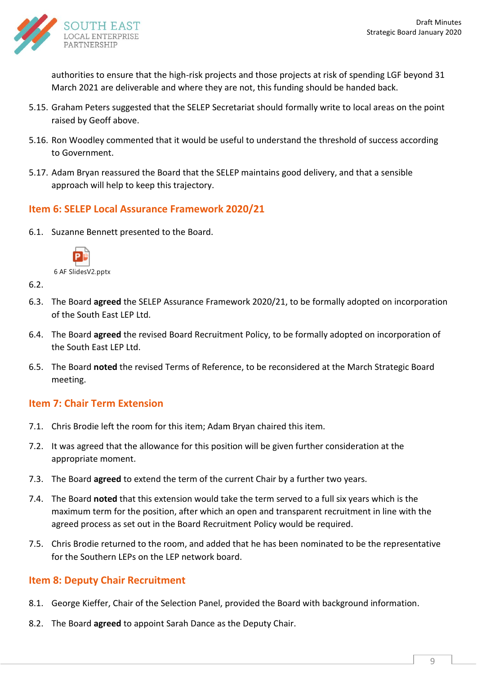

authorities to ensure that the high-risk projects and those projects at risk of spending LGF beyond 31 March 2021 are deliverable and where they are not, this funding should be handed back.

- 5.15. Graham Peters suggested that the SELEP Secretariat should formally write to local areas on the point raised by Geoff above.
- 5.16. Ron Woodley commented that it would be useful to understand the threshold of success according to Government.
- 5.17. Adam Bryan reassured the Board that the SELEP maintains good delivery, and that a sensible approach will help to keep this trajectory.

### <span id="page-8-0"></span>**Item 6: SELEP Local Assurance Framework 2020/21**

6.1. Suzanne Bennett presented to the Board.



6 AF SlidesV2.pptx

- 6.2.
- 6.3. The Board **agreed** the SELEP Assurance Framework 2020/21, to be formally adopted on incorporation of the South East LEP Ltd.
- 6.4. The Board **agreed** the revised Board Recruitment Policy, to be formally adopted on incorporation of the South East LEP Ltd.
- 6.5. The Board **noted** the revised Terms of Reference, to be reconsidered at the March Strategic Board meeting.

### <span id="page-8-1"></span>**Item 7: Chair Term Extension**

- 7.1. Chris Brodie left the room for this item; Adam Bryan chaired this item.
- 7.2. It was agreed that the allowance for this position will be given further consideration at the appropriate moment.
- 7.3. The Board **agreed** to extend the term of the current Chair by a further two years.
- 7.4. The Board **noted** that this extension would take the term served to a full six years which is the maximum term for the position, after which an open and transparent recruitment in line with the agreed process as set out in the Board Recruitment Policy would be required.
- 7.5. Chris Brodie returned to the room, and added that he has been nominated to be the representative for the Southern LEPs on the LEP network board.

### <span id="page-8-2"></span>**Item 8: Deputy Chair Recruitment**

- 8.1. George Kieffer, Chair of the Selection Panel, provided the Board with background information.
- 8.2. The Board **agreed** to appoint Sarah Dance as the Deputy Chair.